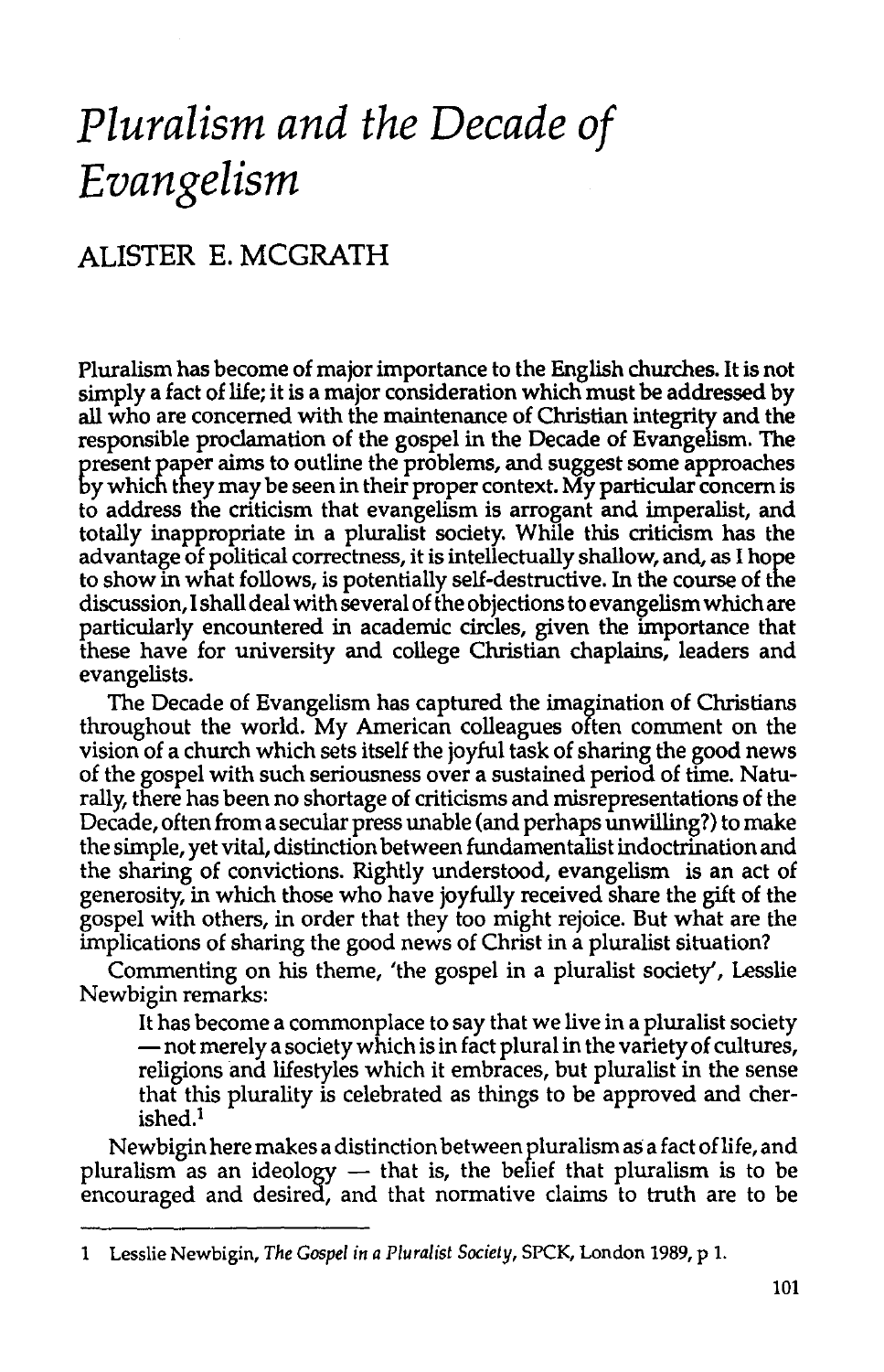# *Pluralism and the Decade of Evangelism*

## ALISTER E. MCGRATH

Pluralism has become of major importance to the English churches. It is not simply a fact of life; it is a major consideration which must be addressed by all who are concerned with the maintenance of Christian integrity and the responsible proclamation of the gospel in the Decade of Evangelism. The present paper aims to outline the problems, and suggest some approaches by which they may be seen in their proper context. My particular concern is to address the criticism that evangelism is arrogant and imperalist, and totally inappropriate in a pluralist society. While this criticism has the advantage of political correctness, it is intellectually shallow, and, as I hope to show in what follows, is potentially self-destructive. In the course of the discussion, I shall deal with several of the objections to evangelism which are particularly encountered in academic circles, given the importance that these have for university and college Christian chaplains, leaders and evangelists.

The Decade of Evangelism has captured the imagination of Christians throughout the world. My American colleagues often comment on the vision of a church which sets itself the joyful task of sharing the good news of the gospel with such seriousness over a sustained period of time. Naturally, there has been no shortage of criticisms and misrepresentations of the Decade, often from a secular press unable (and perhaps unwilling?) to make the simple, yet vital, distinction between fundamentalist indoctrination and the sharing of convictions. Rightly understood, evangelism is an act of generosity, in which those who have joyfully received share the gift of the gospel with others, in order that they too might rejoice. But what are the implications of sharing the good news of Christ in a pluralist situation?

Commenting on his theme, 'the gospel in a pluralist society', Lesslie Newbigin remarks:

It has become a commonplace to say that we live in a pluralist society  $-$  not merely a society which is in fact plural in the variety of cultures, religions and lifestyles which it embraces, but pluralist in the sense that this plurality is celebrated as things to be approved and cherished.1

Newbigin here makes a distinction between pluralism as a fact oflife, and pluralism as an ideology  $-$  that is, the belief that pluralism is to be encouraged and desired, and that normative claims to truth are to be

<sup>1</sup> Lesslie Newbigin, *The Gospel in a Pluralist Society,* SPCK, London 1989, p 1.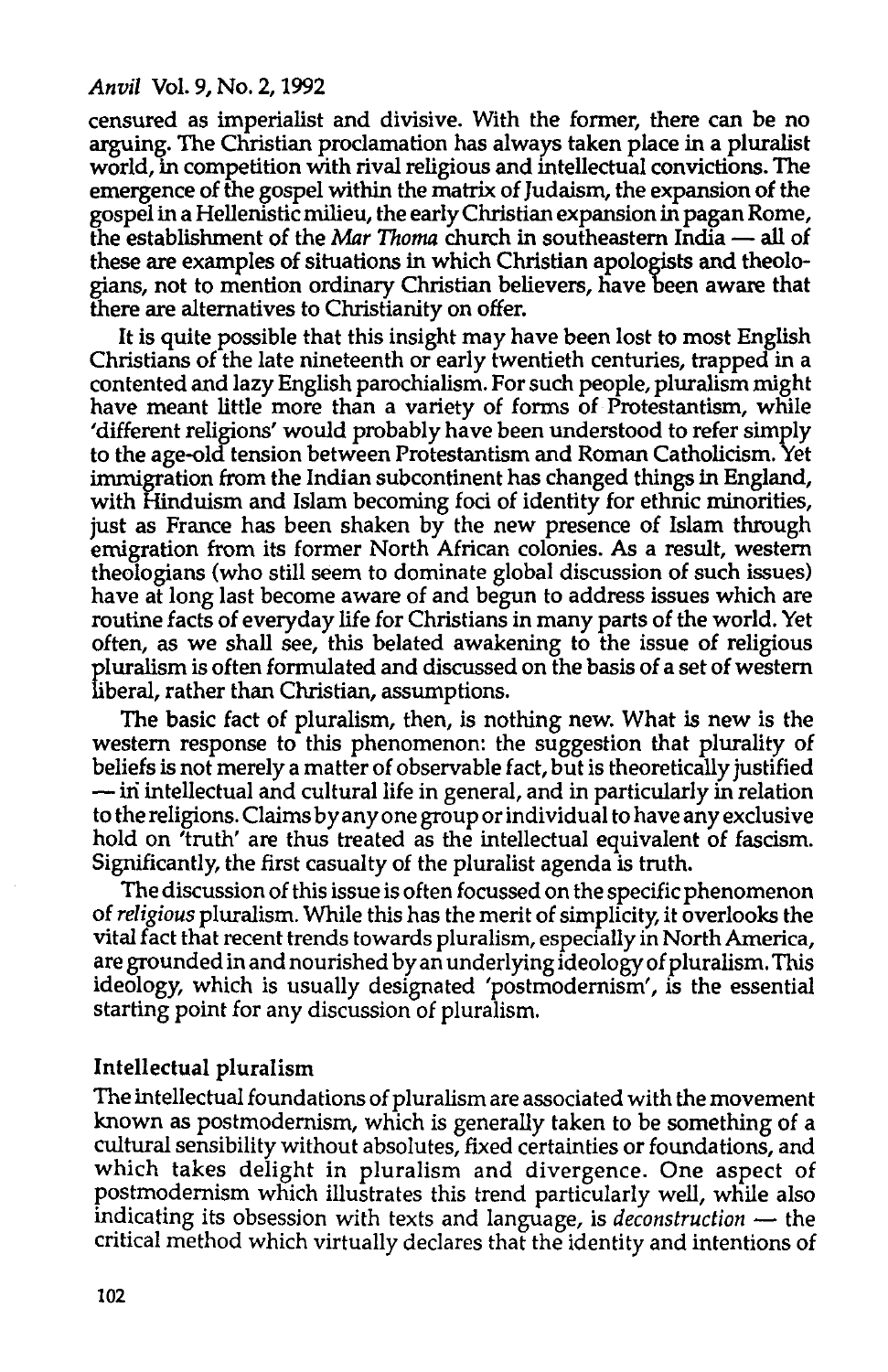censured as imperialist and divisive. With the former, there can be no arguing. The Christian proclamation has always taken place in a pluralist world, in competition with rival religious and intellectual convictions. The emergence of the gospel within the matrix of Judaism, the expansion of the gospel in a Hellenistic milieu, the early Christian expansion in pagan Rome, the establishment of the *Mar Thoma* church in southeastern India - all of these are examples of situations in which Christian apologists and theologians, not to mention ordinary Christian believers, have been aware that there are alternatives to Christianity on offer.

It is quite possible that this insight may have been lost to most English Christians of the late nineteenth or early twentieth centuries, trapped in a contented and lazy English parochialism. For such people, pluralism might have meant little more than a variety of forms of Protestantism, while 'different religions' would probably have been understood to refer simply to the age-old tension between Protestantism and Roman Catholicism. Yet immigration from the Indian subcontinent has changed things in England, with Hinduism and Islam becoming foci of identity for ethnic minorities, just as France has been shaken by the new presence of Islam through emigration from its former North African colonies. As a result, western theologians (who still seem to dominate global discussion of such issues) have at long last become aware of and begun to address issues which are routine facts of everyday life for Christians in many parts of the world. Yet often, as we shall see, this belated awakening to the issue of religious pluralism is often formulated and discussed on the basis of a set of western liberal, rather than Christian, assumptions.

The basic fact of pluralism, then, is nothing new. What is new is the western response to this phenomenon: the suggestion that plurality of beliefs is not merely a matter of observable fact, but is theoretically justified  $-$  in intellectual and cultural life in general, and in particularly in relation to the religions. Claims by anyone group or individual to have any exclusive hold on 'truth' are thus treated as the intellectual equivalent of fascism. Significantly, the first casualty of the pluralist agenda is truth.

The discussion of this issue is often focussed on the specific phenomenon of *religious* pluralism. While this has the merit of simplicity, it overlooks the vital fact that recent trends towards pluralism, especially in North America, are grounded in and nourished by an underlying ideology of pluralism. This ideology, which is usually designated 'postmodernism', is the essential starting point for any discussion of pluralism.

#### Intellectual pluralism

The intellectual foundations of pluralism are associated with the movement known as postmodernism, which is generally taken to be something of a cultural sensibility without absolutes, fixed certainties or foundations, and which takes delight in pluralism and divergence. One aspect of postmodernism which illustrates this trend particularly well, while also indicating its obsession with texts and language, is *deconstruction* — the critical method which virtually declares that the identity and intentions of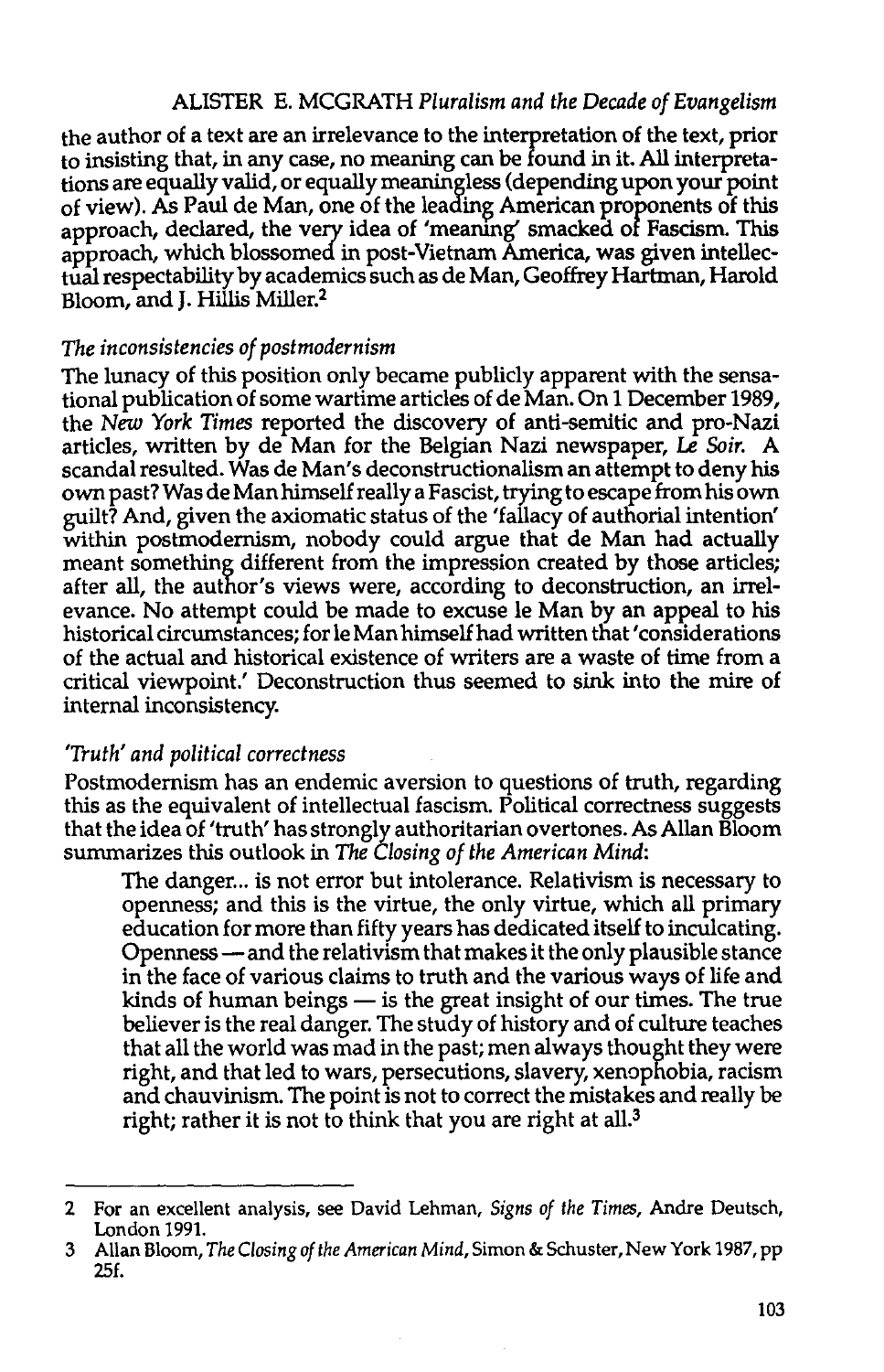the author of a text are an irrelevance to the interpretation of the text, prior to insisting that, in any case, no meaning can be found in it. All interpretations are equally valid, or equally meaningless (depending upon your point of view). As Paul de Man, one of the leading American proponents of this approach, declared, the very idea of 'meaning' smacked of Fascism. This approach, which blossomed in post-Vietnam America, was given intellectual respectability by academics such as de Man, Geoffrey Hartman, Harold Bloom, and J. Hillis Miller.2

## *The inconsistencies of postmodernism*

The lunacy of this position only became publicly apparent with the sensational publication of some wartime articles of de Man. On 1 December 1989, the *New York Times* reported the discovery of anti-semitic and pro-Nazi articles, written by de Man for the Belgian Nazi newspaper, Le *Soir.* A scandal resulted. Was de Man's deconstructionalism an attempt to deny his own past? Was de Man himself really a Fascist, trying to escape from his own guilt? And, given the axiomatic status of the 'fallacy of authorial intention' within postmodernism, nobody could argue that de Man had actually meant something different from the impression created by those articles; after all, the author's views were, according to deconstruction, an irrelevance. No attempt could be made to excuse le Man by an appeal to his historical circumstances; for le Man himself had written that' considerations of the actual and historical existence of writers are a waste of time from a critical viewpoint.' Deconstruction thus seemed to sink into the mire of internal inconsistency.

## *'Truth' and political* correctness

Postmodemism has an endemic aversion to questions of truth, regarding this as the equivalent of intellectual fascism. Political correctness suggests that the idea of 'truth' has strongly authoritarian overtones. As Allan Bloom summarizes this outlook in *The Closing of the American Mind:* 

The danger... is not error but intolerance. Relativism is necessary to openness; and this is the virtue, the only virtue, which all primary education for more than fifty years has dedicated itself to inculcating. Openness-and the relativism that makes it the only plausible stance in the face of various claims to truth and the various ways of life and kinds of human beings  $-$  is the great insight of our times. The true believer is the real danger. The study of history and of culture teaches that all the world was mad in the past; men always thought they were right, and that led to wars, persecutions, slavery, xenophobia, racism and chauvinism. The point is not to correct the mistakes and really be right; rather it is not to think that you are right at all.<sup>3</sup>

<sup>2</sup> For an excellent analysis, see David Lehman, *Signs of the Times,* Andre Deutsch, London 1991.

<sup>3</sup> Allan Bloom, *The Closing of the American Mind,* Simon & Schuster, New York 1987, pp 25f.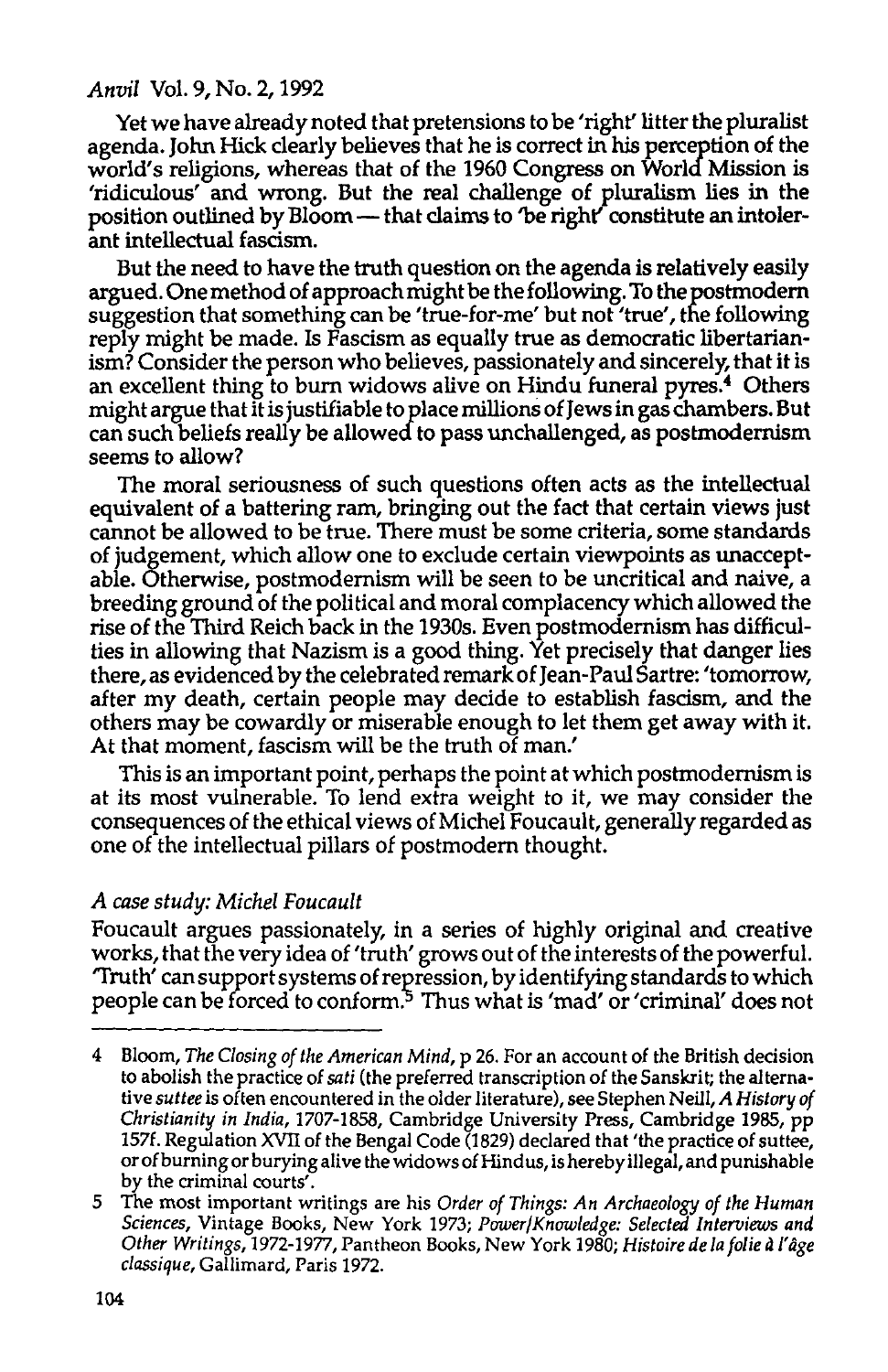Yet we have already noted that pretensions to be 'right' litter the pluralist agenda. John Hick clearly believes that he is correct in his perception of the world's religions, whereas that of the 1960 Congress on World Mission is 'ridiculous' and wrong. But the real challenge of pluralism lies in the position outlined by Bloom - that claims to 'be right' constitute an intolerant intellectual fascism.

But the need to have the truth question on the agenda is relatively easily argued. One method of approach might be the following. To the postmodem suggestion that something can be 'true-for-me' but not 'true', the following reply might be made. Is Fascism as equally true as democratic libertarianism? Consider the person who believes, passionately and sincerely, that it is an excellent thing to burn widows alive on Hindu funeral pyres.<sup>4</sup> Others might argue that it is justifiable to place millions of Jews in gas chambers. But can such beliefs really be allowed to pass unchallenged, as postmodernism seems to allow?

The moral seriousness of such questions often acts as the intellectual equivalent of a battering ram, bringing out the fact that certain views just cannot be allowed to be true. There must be some criteria, some standards of judgement, which allow one to exclude certain viewpoints as unacceptable. Otherwise, postmodemism will be seen to be uncritical and naive, a breeding ground of the political and moral complacency which allowed the rise of the Third Reich back in the 1930s. Even postmodernism has difficulties in allowing that Nazism is a good thing. Yet precisely that danger lies there, as evidenced by the celebrated remark of Jean-Paul Sartre: 'tomorrow, after my death, certain people may decide to establish fascism, and the others may be cowardly or miserable enough to let them get away with it. At that moment, fascism will be the truth of man.'

This is an important point, perhaps the point at which postmodernism is at its most vulnerable. To lend extra weight to it, we may consider the consequences of the ethical views of Michel Foucault, generally regarded as one of the intellectual pillars of postmodem thought.

#### *A case study: Michel Foucault*

Foucault argues passionately, in a series of highly original and creative works, that the very idea of 'truth' grows out of the interests of the powerful. 'Truth' can support systems of repression, by identifying standards to which people can be forced to conform. Thus what is 'mad' or 'criminal' does not

<sup>4</sup> Bloom, *The Closing of the American Mind,* p 26. For an account of the British decision to abolish the practice of *sati* (the preferred transcription of the Sanskrit; the alternative *suttee* is often encountered in the older literature), see Stephen Neill, *A History of Christianity in India,* 1707-1858, Cambridge University Press, Cambridge 1985, pp 157f. Regulation XVII of the Bengal Code (1829) declared that 'the practice of suttee, or of burning or burying alive the widows of Hindus, is hereby illegal, and punishable by the criminal courts'.

<sup>5</sup> The most important writings are his *Order of Things: An Archaeology of the Human Sciences,* Vintage Books, New York 1973; *Power/Knowledge: Selected Interviews and Other Writings,* 1972-1977, Pantheon Books, New York 1980; *Histoirede la fo/ied /'age classique,* Gallimard, Paris 1972.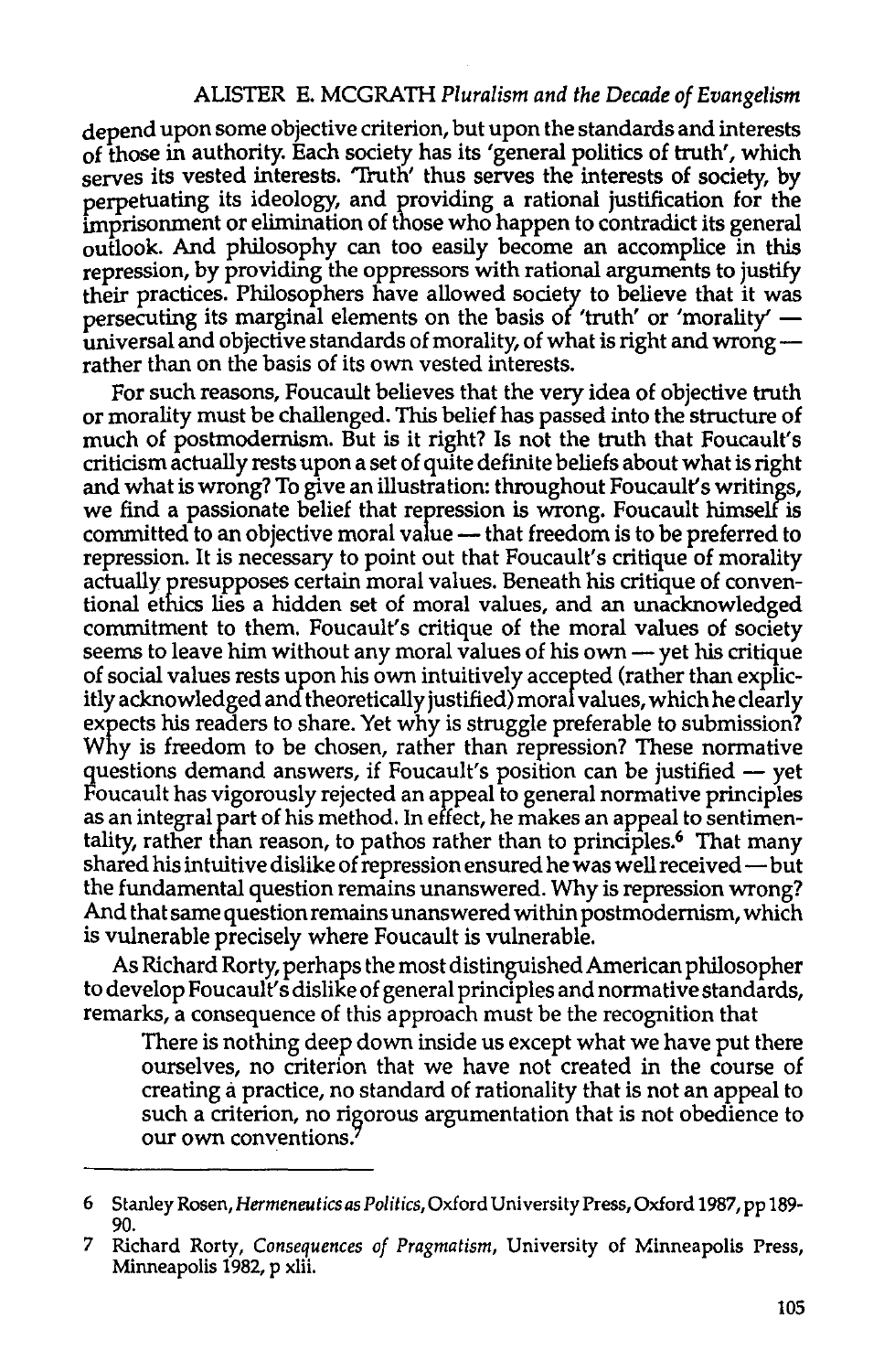depend upon some objective criterion, but upon the standards and interests of those in authority. Each society has its 'general politics of truth', which serves its vested interests. 'Truth' thus serves the interests of society, by perpetuating its ideology, and providing a rational justification for the imprisonment or elimination of those who happen to contradict its general outlook. And philosophy can too easily become an accomplice in this repression, by providing the oppressors with rational arguments to justify their practices. Philosophers have allowed society to believe that it was persecuting its marginal elements on the basis of 'truth' or 'morality'  $$ universal and objective standards of morality, of what is right and wrongrather than on the basis of its own vested interests.

For such reasons, Foucault believes that the very idea of objective truth or morality must be challenged. This belief has passed into the structure of much of postmodernism. But is it right? Is not the truth that Foucault's criticism actually rests upon a set of quite definite beliefs about what is right and what is wrong? To give an illustration: throughout Foucault's writings, we find a passionate belief that repression is wrong. Foucault himself is committed to an objective moral value — that freedom is to be preferred to repression. It is necessary to point out that Foucault's critique of morality actually presupposes certain moral values. Beneath his critique of conventional ethics lies a hidden set of moral values, and an unacknowledged commitment to them. Foucault's critique of the moral values of society seems to leave him without any moral values of his own  $-$  yet his critique of social values rests upon his own intuitively accepted (rather than explicitly acknowledged and theoretically justified) moral values, which he clearly expects his readers to share. Yet why is struggle preferable to submission? Why is freedom to be chosen, rather than repression? These normative questions demand answers, if Foucault's position can be justified — yet Foucault has vigorously rejected an appeal to general normative principles as an integral part of his method. In effect, he makes an appeal to sentimentality, rather than reason, to pathos rather than to principles.<sup>6</sup> That many shared his intuitive dislike of repression ensured he was well received — but the fundamental question remains unanswered. Why is repression wrong? And that same question remains unanswered within postmodemism, which is vulnerable precisely where Foucault is vulnerable.

As Richard Rorty, perhaps the most distinguished American philosopher to develop Foucault's dislike of general principles and normative standards, remarks, a consequence of this approach must be the recognition that

There is nothing deep down inside us except what we have put there ourselves, no criterion that we have not created in the course of creating a practice, no standard of rationality that is not an appeal to such a criterion, no rigorous argumentation that is not obedience to our own conventions.

<sup>6</sup> Stanley Rosen, *Hermeneutics as Politics,* Oxford University Press, Oxford 1987, pp 189- 90.

<sup>7</sup> Richard Rorty, *Consequences of Pragmatism,* University of Minneapolis Press, Minneapolis 1982, p xiii.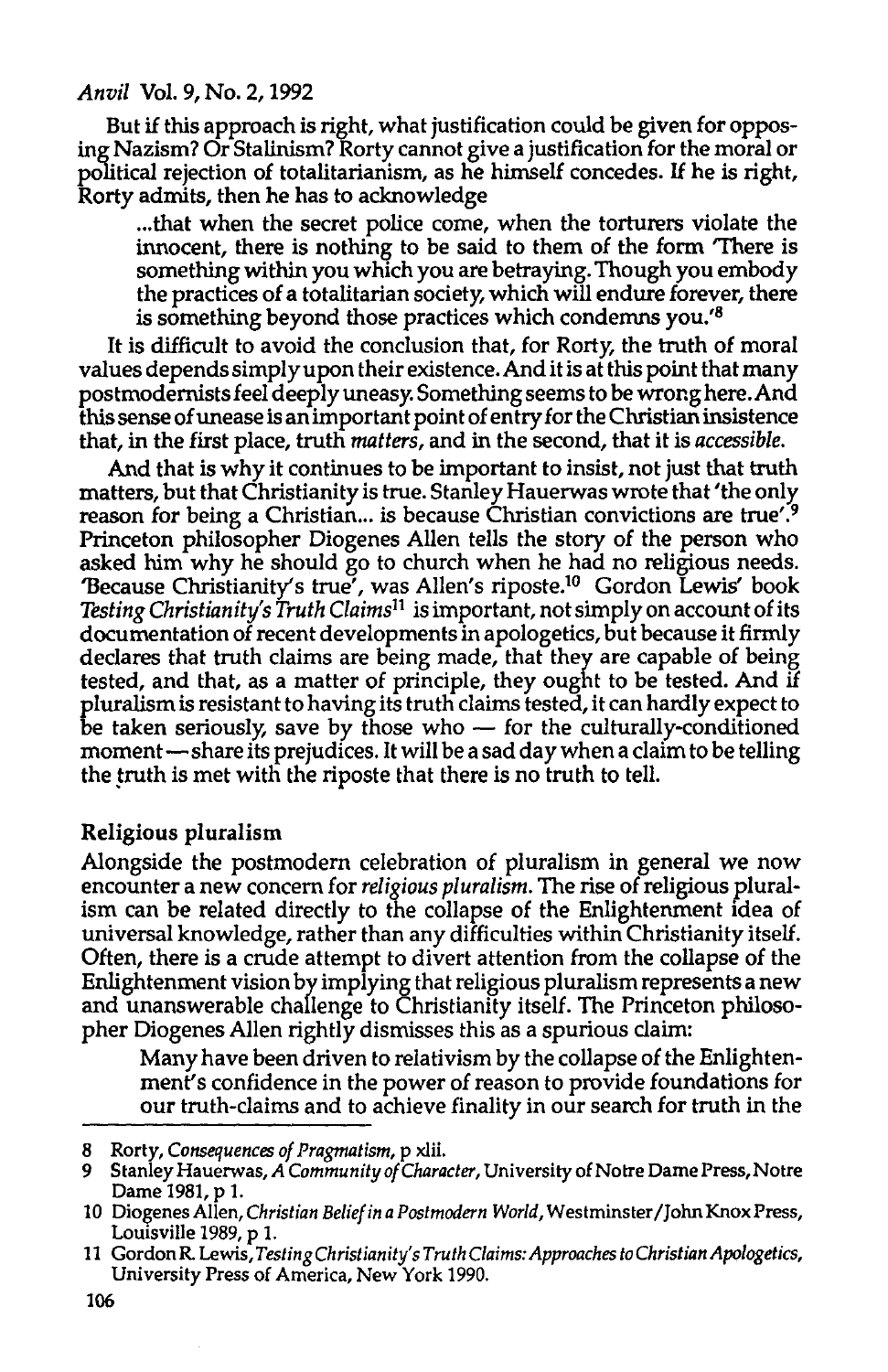But if this approach is right, what justification could be given for opposing Nazism? Or Stalinism? Rorty cannot give a justification for the moral or political rejection of totalitarianism, as he himself concedes. If he is right, Rorty admits, then he has to acknowledge

... that when the secret police come, when the torturers violate the innocent, there is nothing to be said to them of the form 'There is something within you which you are betraying. Though you embody the practices of a totalitarian society, which will endure forever, there is something beyond those practices which condemns you.'8

It is difficult to avoid the conclusion that, for Rorty, the truth of moral values depends simply upon their existence. And it is at this point that many postmodernists feel deeply uneasy. Something seems to be wrong here.And this sense of unease is an important point of entry for the Christian insistence that, in the first place, truth *matters,* and in the second, that it is *accessible.* 

And that is why it continues to be important to insist, not just that truth matters, but that Christianity is true. Stanley Hauerwas wrote that 'the only reason for being a Christian... is because Christian convictions are true'.<sup>9</sup> Princeton philosopher Diogenes Allen tells the story of the person who asked him why he should go to church when he had no religious needs. 'Because Christianity's true', was Allen's riposte.10 Gordon Lewis' book *Testing Christianity's Truth Claims11* is important, not simply on account of its documentation of recent developments in apologetics, but because it firmly declares that truth claims are being made, that they are capable of being tested, and that, as a matter of principle, they ought to be tested. And if pluralism is resistant to having its truth claims tested, it can hardly expect to be taken seriously, save by those who  $-$  for the culturally-conditioned moment - share its prejudices. It will be a sad day when a claim to be telling the truth is met with the riposte that there is no truth to tell.

## Religious pluralism

Alongside the postmodern celebration of pluralism in general we now encounter a new concern for *religious pluralism.* The rise of religious pluralism can be related directly to the collapse of the Enlightenment idea of universal knowledge, rather than any difficulties within Christianity itself. Often, there is a crude attempt to divert attention from the collapse of the Enlightenment vision by implying that religious pluralism represents a new and unanswerable challenge to Christianity itself. The Princeton philosopher Diogenes Allen rightly dismisses this as a spurious claim:

Many have been driven to relativism by the collapse of the Enlightenment's confidence in the power of reason to provide foundations for our truth-claims and to achieve finality in our search for truth in the

<sup>8</sup> Rorty, *Consequences of Pragmatism,* p xiii.

<sup>9</sup> Stanley Hauerwas, A Community of Character, University of Notre Dame Press, Notre Dame 1981, p 1.

<sup>10</sup> Diogenes Allen, *Christian Belief in a Postmodern World,* Westminster /John Knox Press, Louisville 1989, p 1.

<sup>11</sup> GordonR Lewis, *TestingChristianity' s Truth Claims: Approaches to Christian Apologetics,*  University Press of America, New York 1990.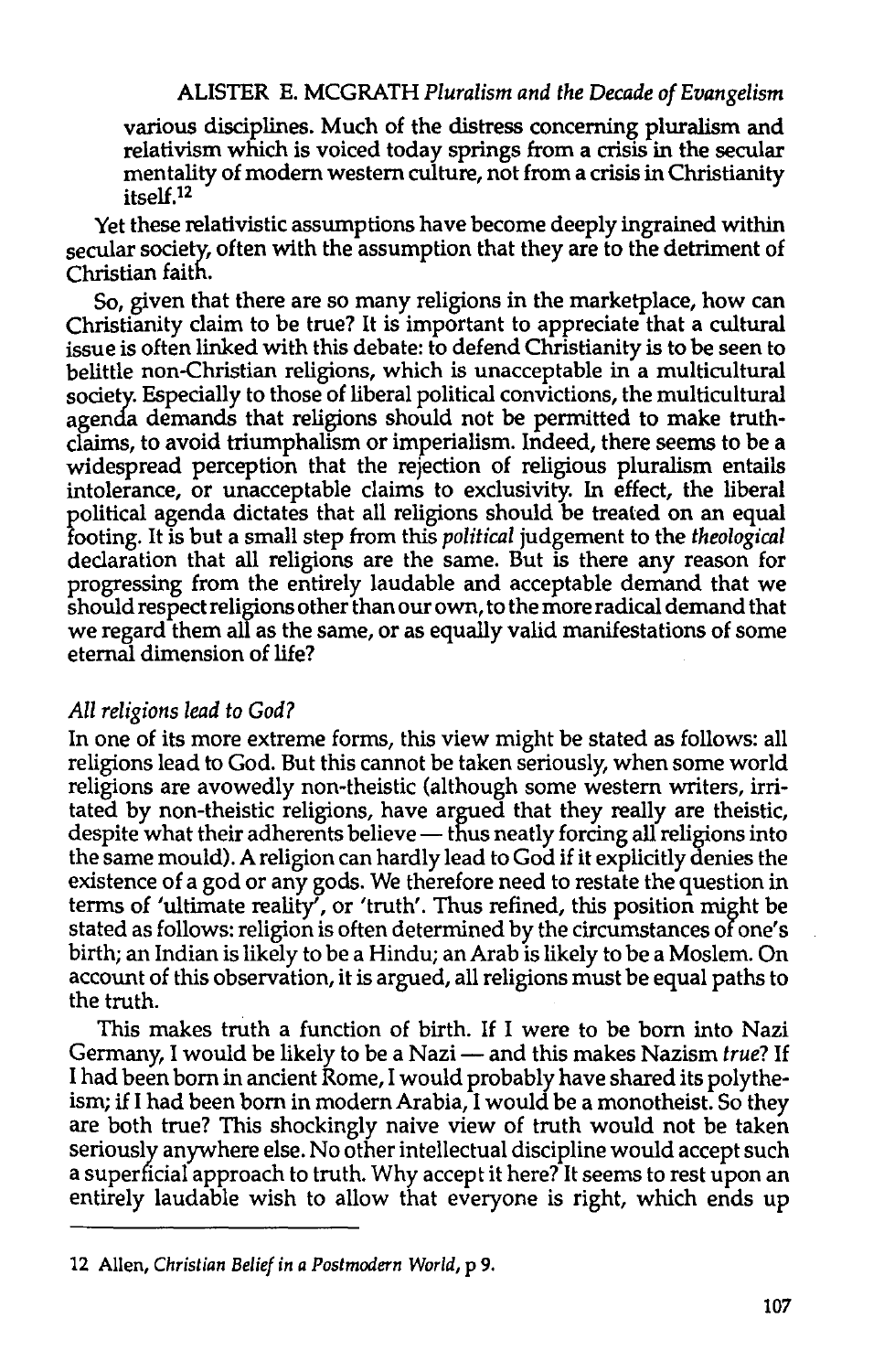various disciplines. Much of the distress concerning pluralism and relativism which is voiced today springs from a crisis in the secular mentality of modern western culture, not from a crisis in Christianity itself.12

Yet these relativistic assumptions have become deeply ingrained within secular society, often with the assumption that they are to the detriment of Christian faith.

So, given that there are so many religions in the marketplace, how can Christianity claim to be true? It is important to appreciate that a cultural issue is often linked with this debate: to defend Christianity is to be seen to belittle non-Christian religions, which is unacceptable in a multicultural society. Especially to those of liberal political convictions, the multicultural agenda demands that religions should not be permitted to make truthclaims, to avoid triumphalism or imperialism. Indeed, there seems to be a widespread perception that the rejection of religious pluralism entails intolerance, or unacceptable claims to exclusivity. In effect, the liberal political agenda dictates that all religions should be treated on an equal footing. It is but a small step from this *political* judgement to the *theological*  declaration that all religions are the same. But is there any reason for progressing from the entirely laudable and acceptable demand that we should respect religions other than our own, to the more radical demand that we regard them all as the same, or as equally valid manifestations of some eternal dimension of life?

## *All religions lead to God?*

In one of its more extreme forms, this view might be stated as follows: all religions lead to God. But this cannot be taken seriously, when some world religions are avowedly non-theistic (although some western writers, irritated by non-theistic religions, have argued that they really are theistic, despite what their adherents believe — thus neatly forcing all religions into the same mould). A religion can hardly lead to God if it explicitly denies the existence of a god or any gods. We therefore need to restate the question in terms of 'ultimate reality', or 'truth'. Thus refined, this position might be stated as follows: religion is often determined by the circumstances of one's birth; an Indian is likely to be a Hindu; an Arab is likely to be a Moslem. On account of this observation, it is argued, all religions must be equal paths to the truth.

This makes truth a function of birth. If I were to be born into Nazi Germany, I would be likely to be a Nazi - and this makes Nazism *true?* If I had been born in ancient Rome, I would probably have shared its polytheism; if I had been born in modern Arabia, I would be a monotheist. So they are both true? This shockingly naive view of truth would not be taken seriously anywhere else. No other intellectual discipline would accept such a superficial approach to truth. Why accept it here? It seems to rest upon an entirely laudable wish to allow that everyone is right, which ends up

<sup>12</sup> Allen, *Christian Belief in a Postmodern World,* p 9.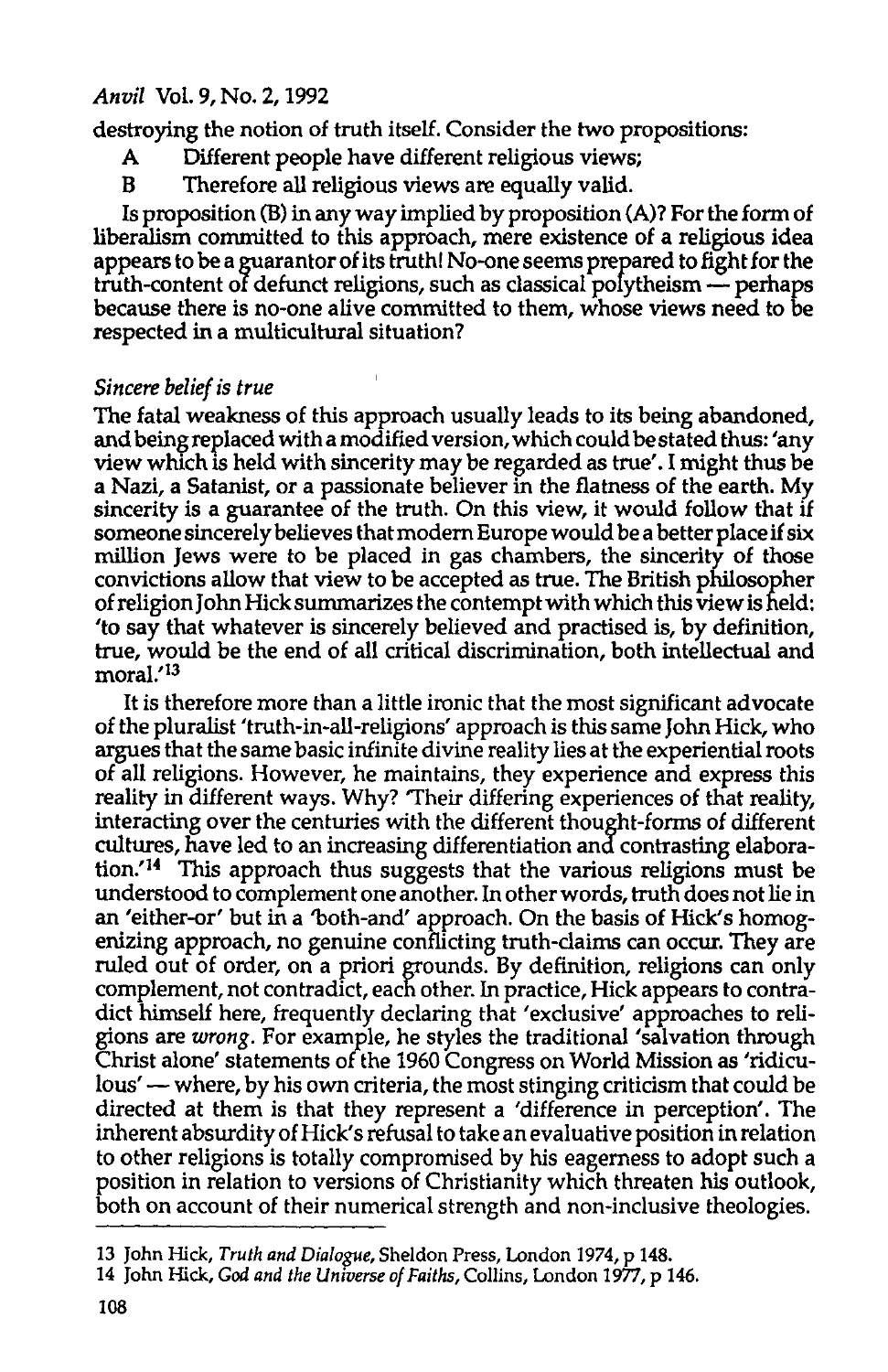destroying the notion of truth itself. Consider the two propositions:

- A Different people have different religious views;
- B Therefore all religious views are equally valid.

Is proposition (B) in any way implied by proposition (A)? For the form of liberalism committed to this approach, mere existence of a religious idea appears to be a guarantor of its truth! No-one seems prepared to fight for the truth-content of defunct religions, such as classical polytheism  $-$  perhaps because there is no-one alive committed to them, whose views need to be respected in a multicultural situation?

## *Sincere belief is true*

The fatal weakness of this approach usually leads to its being abandoned, and being replaced with a modified version, which could be stated thus: 'any view which ts held with sincerity may be regarded as true'. I might thus be a Nazi, a Satanist, or a passionate believer in the flatness of the earth. My sincerity is a guarantee of the truth. On this view, it would follow that if someone sincerely believes that modern Europe would be a better place if six million Jews were to be placed in gas chambers, the sincerity of those convictions allow that view to be accepted as true. The British philosopher of religion John Hick summarizes the contempt with which this view is held: 'to say that whatever is sincerely believed and practised is, by definition, true, would be the end of all critical discrimination, both intellectual and moral.'13

It is therefore more than a little ironic that the most significant advocate of the pluralist 'truth-in-all-religions' approach is this same John Hick, who argues that the same basic infinite divine reality lies at the experiential roots of all religions. However, he maintains, they experience and express this reality in different ways. Why? 'Their differing experiences of that reality, interacting over the centuries with the different thought-forms of different cultures, have led to an increasing differentiation and contrasting elaboration.'14 This approach thus suggests that the various religions must be understood to complement one another. In other words, truth does not lie in an 'either-or' but in a 'both-and' approach. On the basis of Hick's homogenizing approach, no genuine conflicting truth-claims can occur. They are ruled out of order, on a priori grounds. By definition, religions can only complement, not contradict, each other. In practice, Hick appears to contradict himself here, frequently declaring that 'exclusive' approaches to religions are *wrong.* For example, he styles the traditional 'salvation through Christ alone' statements of the 1960 Congress on World Mission as 'ridiculous' - where, by his own criteria, the most stinging criticism that could be directed at them is that they represent a 'difference in perception'. The inherent absurdity of Hick's refusal to take an evaluative position in relation to other religions is totally compromised by his eagerness to adopt such a position in relation to versions of Christianity which threaten his outlook, both on account of their numerical strength and non-inclusive theologies.

<sup>13</sup> John Hick, *Truth and Dialogue,* Sheldon Press, London 1974, p 148.

<sup>14</sup> John Hick, *God and the Universe of Faiths,* Collins, London 1977, p 146.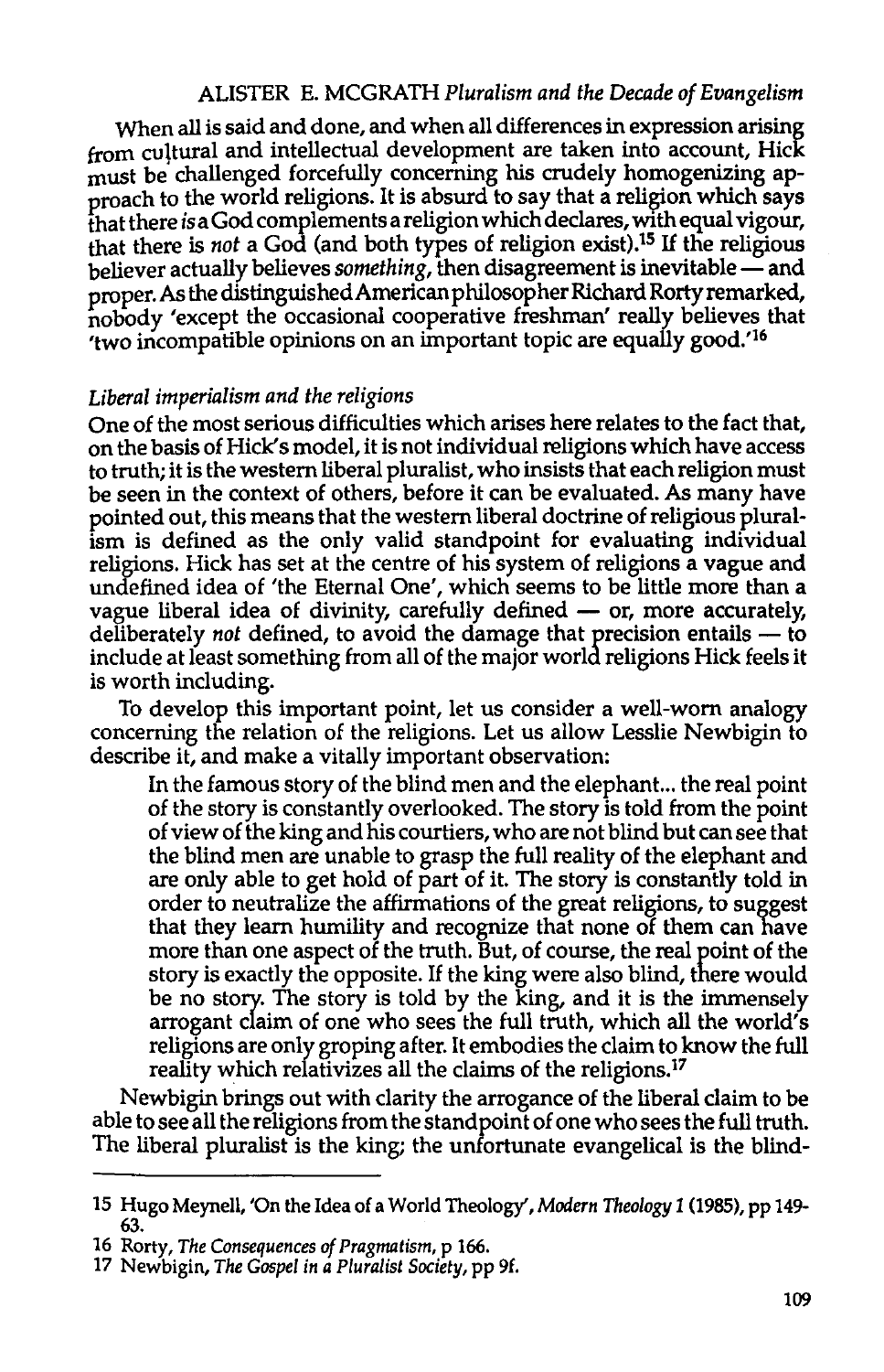When all is said and done, and when all differences in expression arising from cultural and intellectual development are taken into account, Hick must be challenged forcefully concerning his crudely homogenizing approach to the world religions. It is absurd to say that a religion which says that there *is* a God complements a religion which declares, with equal vigour, that there is *not* a God (and both types of religion exist).15 If the religious believer actually believes *something*, then disagreement is inevitable - and proper. As the distinguished American philosopher Richard Rortyremarked, nobody 'except the occasional cooperative freshman' really believes that 'two incompatible opinions on an important topic are equally good.'16

#### *Liberal imperialism and the religions*

One of the most serious difficulties which arises here relates to the fact that, on the basis of Hick's model, it is not individual religions which have access to truth; it is the western liberal pluralist, who insists that each religion must be seen in the context of others, before it can be evaluated. As many have pointed out, this means that the western liberal doctrine of religious pluralism is defined as the only valid standpoint for evaluating individual religions. Hick has set at the centre of his system of religions a vague and undefined idea of 'the Eternal One', which seems to be little more than a vague liberal idea of divinity, carefully defined - or, more accurately, deliberately *not* defined, to avoid the damage that precision entails — to include at least something from all of the major world religions Hick feels it is worth including.

To develop this important point, let us consider a well-worn analogy concerning the relation of the religions. Let us allow Lesslie Newbigin to describe it, and make a vitally important observation:

In the famous story of the blind men and the elephant... the real point of the story is constantly overlooked. The story is told from the point of view of the king and his courtiers, who are not blind but can see that the blind men are unable to grasp the full reality of the elephant and are only able to get hold of part of it. The story is constantly told in order to neutralize the affirmations of the great religions, to suggest that they learn humility and recognize that none of them can have more than one aspect of the truth. But, of course, the real point of the story is exactly the opposite. If the king were also blind, there would be no story. The story is told by the king, and it is the immensely arrogant claim of one who sees the full truth, which all the world's religions are only groping after. It embodies the claim to know the full reality which relativizes all the claims of the religions.17

Newbigin brings out with clarity the arrogance of the liberal claim to be able to see all the religions from the standpoint of one who sees the full truth. The liberal pluralist is the king; the unfortunate evangelical is the blind-

<sup>15</sup> Hugo Meynell, 'On the Idea of a World Theology', *Modern Theology 1* (1985), pp 149- 63.

<sup>16</sup> Rorty, *The Consequences of Pragmatism,* p 166.

<sup>17</sup> Newbigin, *The Gospel in a Pluralist Society,* pp 9f.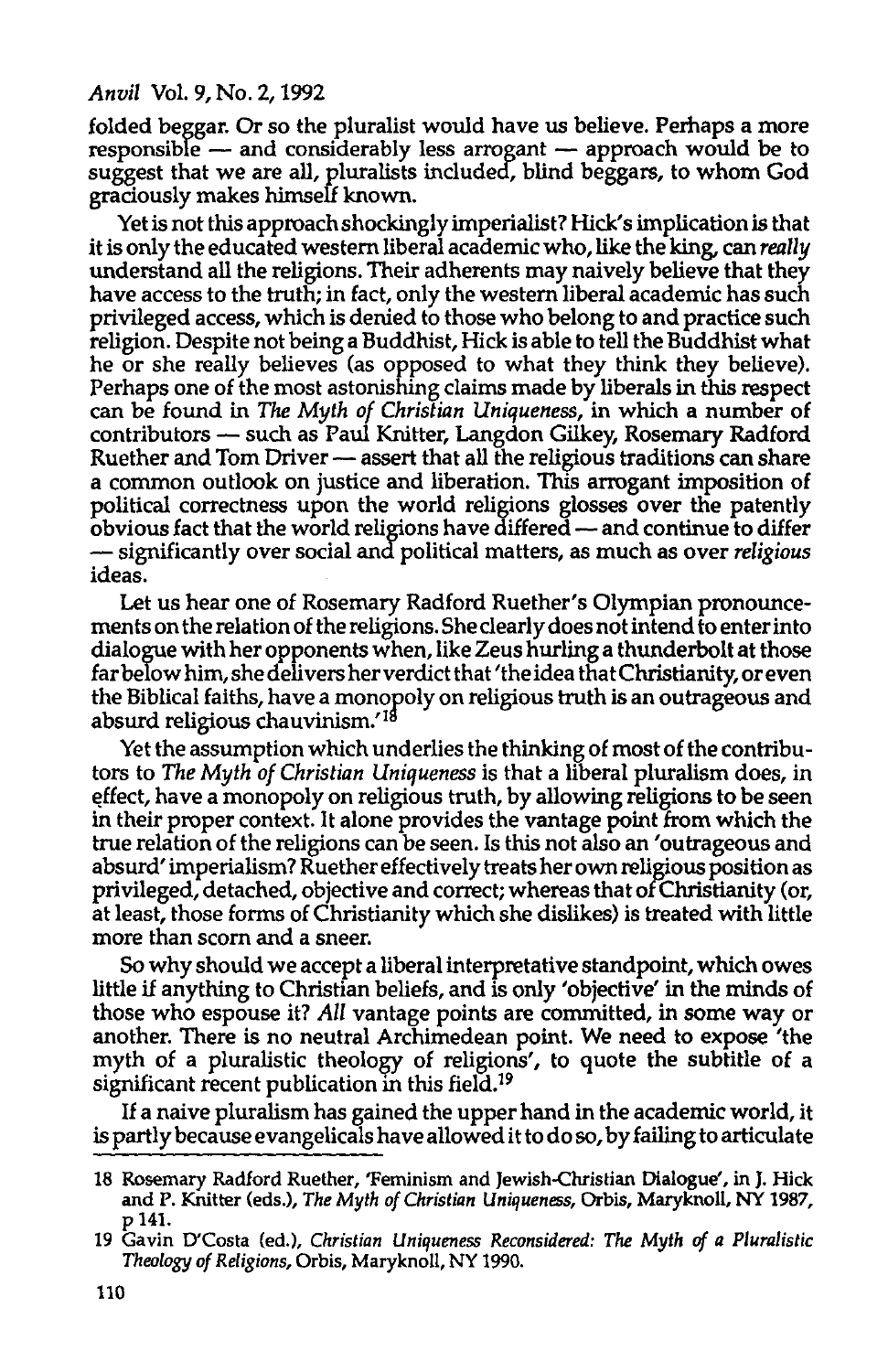folded beggar. Or so the pluralist would have us believe. Perhaps a more responsible  $-$  and considerably less arrogant  $-$  approach would be to suggest that we are all, pluralists included, blind beggars, to whom God graciously makes himself known.

Yet is not this approach shockingly imperialist? Hick's implication is that it is only the educated western liberal academic who, like the king, can *really*  understand all the religions. Their adherents may naively believe that they have access to the truth; in fact, only the western liberal academic has such privileged access, which is denied to those who belong to and practice such religion. Despite not being a Buddhist, Hick is able to tell the Buddhist what he or she really believes (as opposed to what they think they believe). Perhaps one of the most astonishing claims made by liberals in this respect can be found in *The Myth of Christian Uniqueness,* in which a number of contributors - such as Paul Knitter, Langdon Gilkey, Rosemary Radford Ruether and Tom Driver — assert that all the religious traditions can share a common outlook on justice and liberation. This arrogant imposition of political correctness upon the world religions glosses over the patently obvious fact that the world religions have differed - and continue to differ - significantly over social and political matters, as much as over *religious*  ideas.

Let us hear one of Rosemary Radford Ruether's Olympian pronouncements on the relation of the religions. She clearly does not intend to enter into dialogue with her opponents when, like Zeus hurling a thunderbolt at those far below him, she delivers her verdict that 'the idea that Christianity, or even the Biblical faiths, have a monopoly on religious truth is an outrageous and absurd religious chauvinism.'1

Yet the assumption which underlies the thinking of most of the contributors to *The Myth of Christian Uniqueness* is that a liberal pluralism does, in ~ffect, have a monopoly on religious truth, by allowing religions to be seen in their proper context. It alone provides the vantage point from which the true relation of the religions can be seen. Is this not also an 'outrageous and absurd' imperialism? Ruether effectively treats her own religious position as privileged, detached, objective and correct; whereas thatofChristianity (or, at least, those forms of Christianity which she dislikes) is treated with little more than scorn and a sneer.

So why should we accept a liberal interpretative standpoint, which owes little if anything to Christian beliefs, and is only 'objective' in the minds of those who espouse it? All vantage points are committed, in some way or another. There is no neutral Archimedean point. We need to expose 'the myth of a pluralistic theology of religions', to quote the subtitle of a significant recent publication in this field.<sup>19</sup>

If a naive pluralism has gained the upper hand in the academic world, it is partly because evangelicals have allowed it to do so, by failing to articulate

<sup>18</sup> Rosemary Radford Ruether, 'Feminism and Jewish-Christian Dialogue', in J. Hick and P. Knitter (eds.), *The Myth of Christian Uniqueness,* Orbis, Maryknoll, NY 1987, p 141.

<sup>19</sup> Gavin D'Costa (ed.), *Christian Uniqueness Reconsidered: The Myth* of *a Pluralistic Theology of Religions,* Orbis, Maryknoll, NY 1990.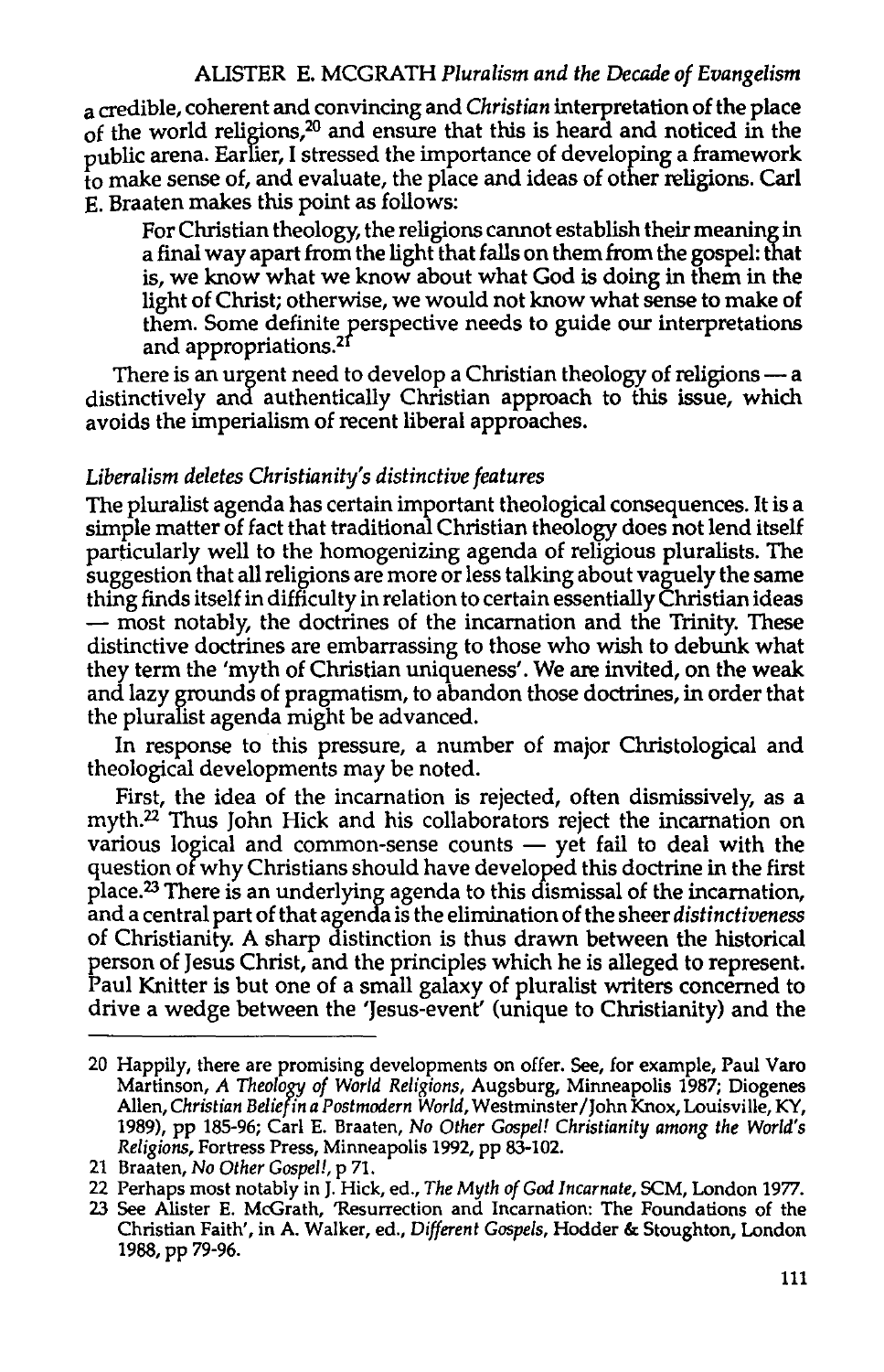a credible, coherent and convincing and *Christian* interpretation of the place of the world religions,20 and ensure that this is heard and noticed in the public arena. Earlier, I stressed the importance of developing a framework to make sense of, and evaluate, the place and ideas of other religions. Carl E. Braaten makes this point as follows:

For Christian theology, the religions cannot establish their meaning in a final way apart from the light that falls on them from the gospel: that is, we know what we know about what God is doing in them in the light of Christ; otherwise, we would not know what sense to make of them. Some definite perspective needs to guide our interpretations and appropriations.<sup>21</sup>

There is an urgent need to develop a Christian theology of religions - a distinctively and authentically Christian approach to this issue, which avoids the imperialism of recent liberal approaches.

#### *Liberalism deletes Christianity's distinctive features*

The pluralist agenda has certain important theological consequences. It is a simple matter of fact that traditional Christian theology does not lend itself particularly well to the homogenizing agenda of religious pluralists. The suggestion that all religions are more or less talking about vaguely the same thing finds itself in difficulty in relation to certain essentially Christian ideas - most notably, the doctrines of the incarnation and the Trinity. These distinctive doctrines are embarrassing to those who wish to debunk what they term the 'myth of Christian uniqueness'. We are invited, on the weak and lazy grounds of pragmatism, to abandon those doctrines, in order that the pluralist agenda might be advanced.

In response to this pressure, a number of major Christological and theological developments may be noted.

First, the idea of the incarnation is rejected, often dismissively, as a myth.22 Thus John Hick and his collaborators reject the incarnation on various logical and common-sense counts  $-$  yet fail to deal with the question of why Christians should have developed this doctrine in the first place.23 There is an underlying agenda to this dismissal of the incarnation, and a central part of that agenda is the elimination of the sheer *distinctiveness*  of Christianity. A sharp distinction is thus drawn between the historical person of Jesus Christ, and the principles which he is alleged to represent. Paul Knitter is but one of a small galaxy of pluralist writers concerned to drive a wedge between the 'Jesus-event' (unique to Christianity) and the

<sup>20</sup> Happily, there are promising developments on offer. See, for example, Paul Varo Martinson, *A Theology of World Religions*, Augsburg, Minneapolis 1987; Diogenes Allen, *Christian Belief in a Postmodern World,* Westminster /John Knox, Louisville, KY, 1989), pp 185-96; Carl E. Braaten, *No Other Gospel! Christianity among the World's Religions,* Fortress Press, Minneapolis 1992, pp 83-102.

<sup>21</sup> Braaten, *No Other Gospel!,* p 71.

<sup>22</sup> Perhaps most notably in J. Hick, ed., *The Myth of God Incarnate,* SCM, London 1977.

<sup>23</sup> See Alister E. McGrath, 'Resurrection and Incarnation: The Foundations of the Christian Faith', in A. Walker, ed., *Different Gospels,* Hodder & Stoughton, London 1988, pp 79-96.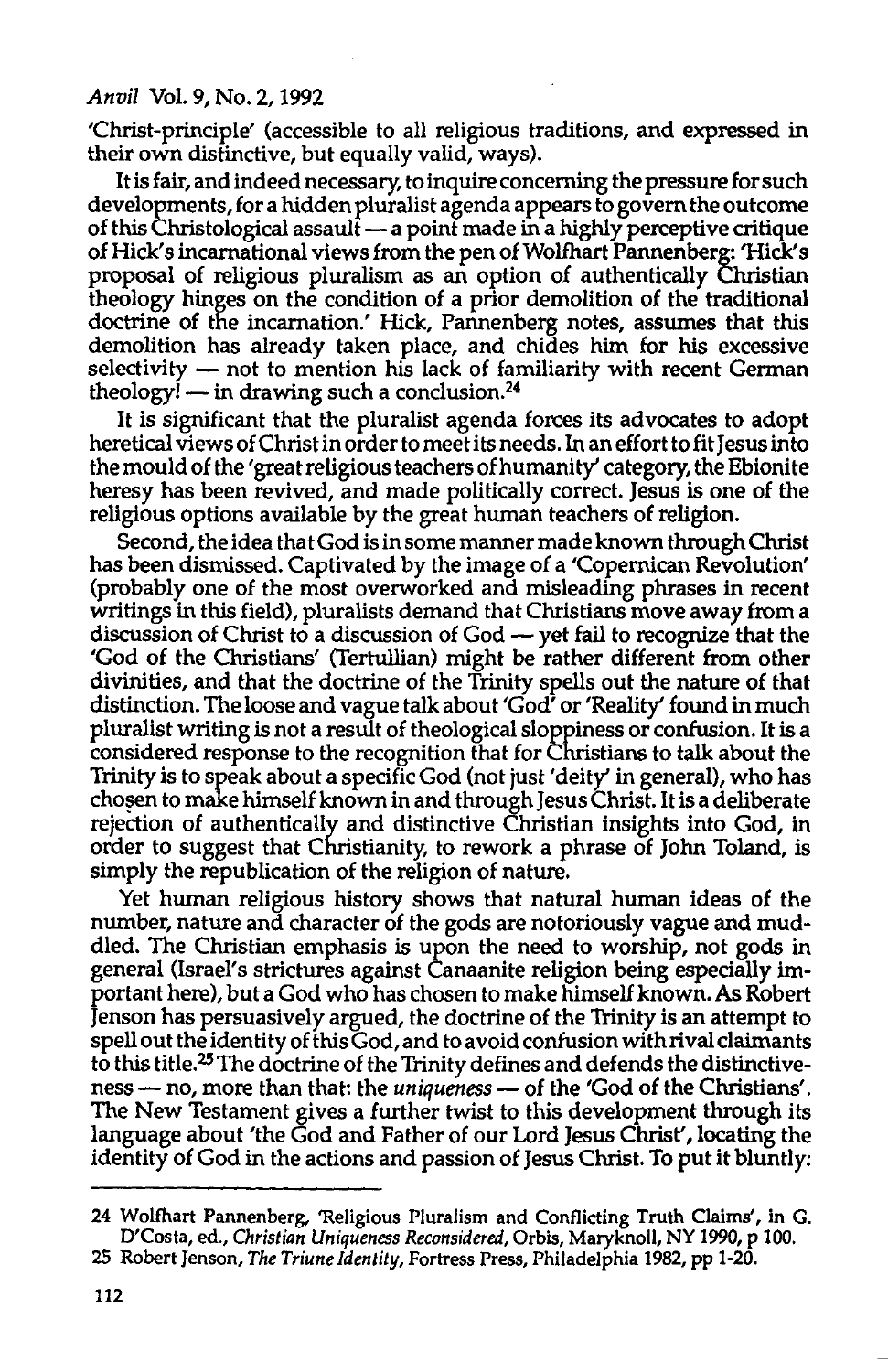'Christ-principle' (accessible to all religious traditions, and expressed in their own distinctive, but equally valid, ways).

It is fair, and indeed necessary, to inquire concerning the pressure for such developments, for a hidden pluralist agenda appears to govern the outcome of this Christological assault- a point made in a highly perceptive critique of Hick' s incamational views from the pen of Wolfhart Pannenberg: 'Hick' s proposal of religious pluralism as an option of authentically Christian theology hinges on the condition of a prior demolition of the traditional doctrine of the incarnation.' Hick, Pannenberg notes, assumes that this demolition has already taken place, and chides him for his excessive selectivity  $-$  not to mention his lack of familiarity with recent German theology!  $-$  in drawing such a conclusion.<sup>24</sup>

It is significant that the pluralist agenda forces its advocates to adopt heretical views of Christ in order to meet its needs. In an effort to fit Jesus into the mould of the 'great religious teachers of humanity' category, the Ebionite heresy has been revived, and made politically correct. Jesus is one of the religious options available by the great human teachers of religion.

Second, the idea that God is in some manner made known through Christ has been dismissed. Captivated by the image of a 'Copernican Revolution' (probably one of the most overworked and misleading phrases in recent writings in this field), pluralists demand that Christians move away from a discussion of Christ to a discussion of  $God -$  yet fail to recognize that the 'God of the Christians' (Tertullian) might be rather different from other divinities, and that the doctrine of the Trinity spells out the nature of that distinction. The loose and vague talk about 'God' or 'Reality' found in much pluralist writing is not a result of theological sloppiness or confusion. It is a considered response to the recognition that for Christians to talk about the Trinity is to speak about a specific God (not just 'deity' in general), who has chosen to make himself known in and through Jesus Christ. It is a deliberate rejection of authentically and distinctive Christian insights into God, in order to suggest that Christianity, to rework a phrase of John Toland, is simply the republication of the religion of nature.

Yet human religious history shows that natural human ideas of the number, nature and character of the gods are notoriously vague and muddled. The Christian emphasis is upon the need to worship, not gods in general (Israel's strictures against Canaanite religion being especially important here), but a God who has chosen to make himself known. As Robert Jenson has persuasively argued, the doctrine of the Trinity is an attempt to spell out the identity of this God, and to avoid confusion with rival claimants to this title.<sup>25</sup> The doctrine of the Trinity defines and defends the distinctiveness - no, more than that: the *uniqueness* - of the 'God of the Christians'. The New Testament gives a further twist to this development through its language about 'the God and Father of our Lord Jesus Christ', locating the identity of God in the actions and passion of Jesus Christ. To put it bluntly:

<sup>24</sup> Wolfhart Pannenberg, 'Religious Pluralism and Conflicting Truth Claims', in G. D'Costa, ed., *Christian Uniqueness Reconsidered,* Orbis, Maryknoll, NY 1990, p 100.

<sup>25</sup> Robert Jenson, *The Triune Identity,* Fortress Press, Philadelphia 1982, pp 1-20.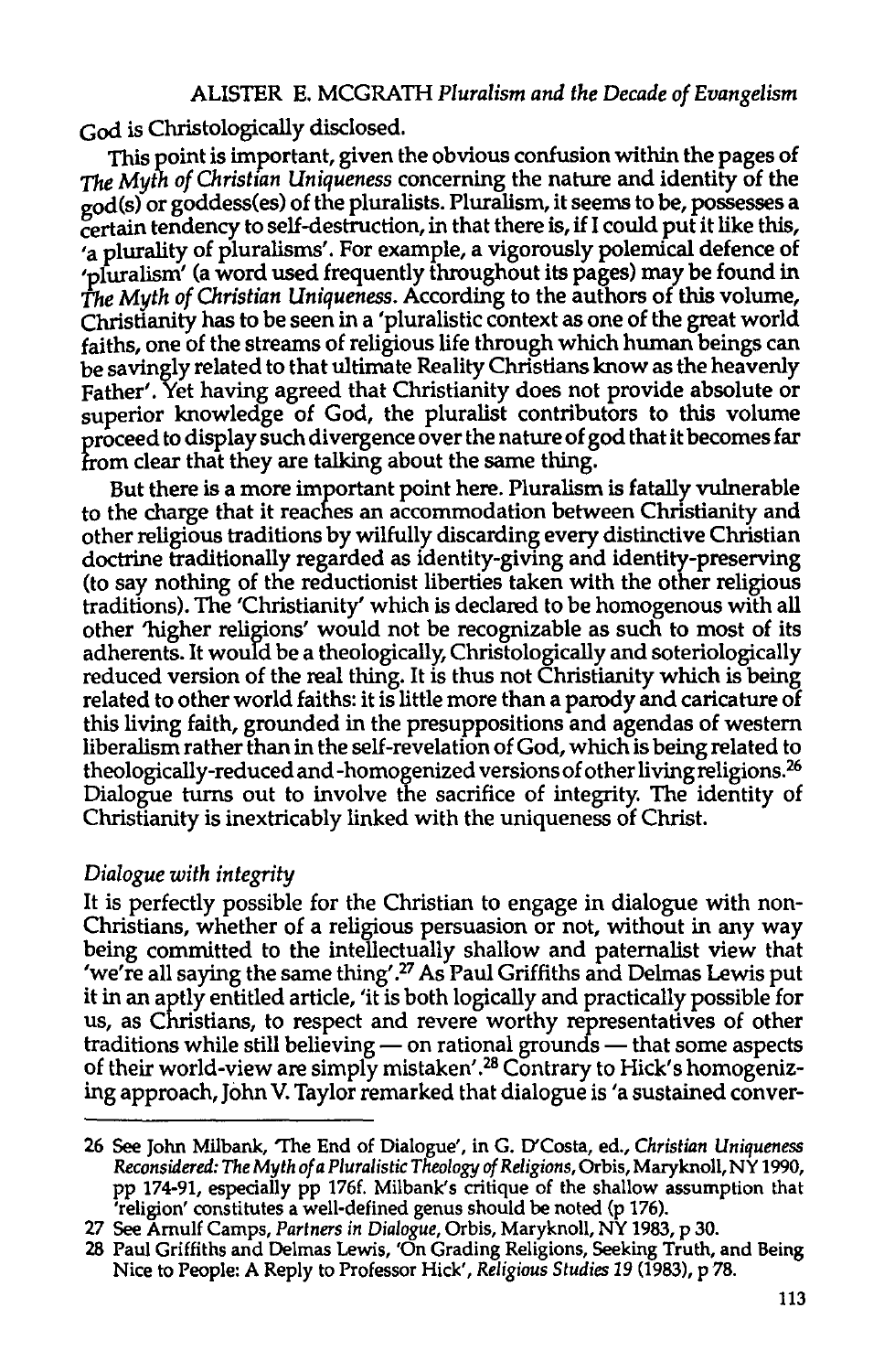God is Christologically disclosed.

This point is important, given the obvious confusion within the pages of *The Myth of Christian Uniqueness* concerning the nature and identity of the god(s) or goddess(es) of the pluralists. Pluralism, it seems to be, possesses a certain tendency to self-destruction, in that there is, if I could put it like this, 'a plurality of pluralisms'. For example, a vigorously polemical defence of 'pluralism' (a word used frequently throughout its pages) may be found in *The Myth of Christian Uniqueness.* According to the authors of this volume, Christianity has to be seen in a 'pluralistic context as one of the great world faiths, one of the streams of religious life through which human beings can be savingly related to that ultimate Reality Christians know as the heavenly Father'. Yet having agreed that Christianity does not provide absolute or superior knowledge of God, the pluralist contributors to this volume proceed to display such divergence over the nature of god that it becomes far from clear that they are talking about the same thing.

But there is a more important point here. Pluralism is fatally vulnerable to the charge that it reaches an accommodation between Christianity and other religious traditions by wilfully discarding every distinctive Christian doctrine traditionally regarded as identity-giving and identity-preserving (to say nothing of the reductionist liberties taken with the other religious traditions). The 'Christianity' which is declared to be homogenous with all other 'higher religions' would not be recognizable as such to most of its adherents. It would be a theologically, Christologically and soteriologically reduced version of the real thing. It is thus not Christianity which is being related to other world faiths: it is little more than a parody and caricature of this living faith, grounded in the presuppositions and agendas of western liberalism rather than in the self-revelation of God, which is being related to theologically-reduced and-homogenized versions of other livingreligions.<sup>26</sup> Dialogue turns out to involve the sacrifice of integrity. The identity of Christianity is inextricably linked with the uniqueness of Christ.

#### *Dialogue with integrity*

It is perfectly possible for the Christian to engage in dialogue with non-Christians, whether of a religious persuasion or not, without in any way being committed to the intellectually shallow and paternalist view that 'we're all saying the same thing'.<sup>27</sup> As Paul Griffiths and Delmas Lewis put it in an aptly entitled article, 'it is both logically and practically possible for us, as Christians, to respect and revere worthy representatives of other traditions while still believing  $-$  on rational grounds  $-$  that some aspects of their world-view are simply mistaken'.<sup>28</sup> Contrary to Hick's homogenizing approach, John V. Taylor remarked that dialogue is 'a sustained conver-

<sup>26</sup> See John Milbank, 'The End of Dialogue', in G. D'Costa, ed., *Christian Uniqueness Reconsidered: The Myth of a Pluralistic Theology of Religions, Orbis, Maryknoll, NY 1990,* pp 174-91, especially pp 176f. Milbank's critique of the shallow assumption that 'religion' constitutes a well-defined genus should be noted (p 176).

<sup>27</sup> See Amulf Camps, *Partners in Dialogue,* Orbis, Maryknoll, NY 1983, p 30.

<sup>28</sup> Paul Griffiths and Delmas Lewis, 'On Grading Religions, Seeking Truth, and Being Nice to People: A Reply to Professor Hick', *Religious Studies 19* (1983), p 78.